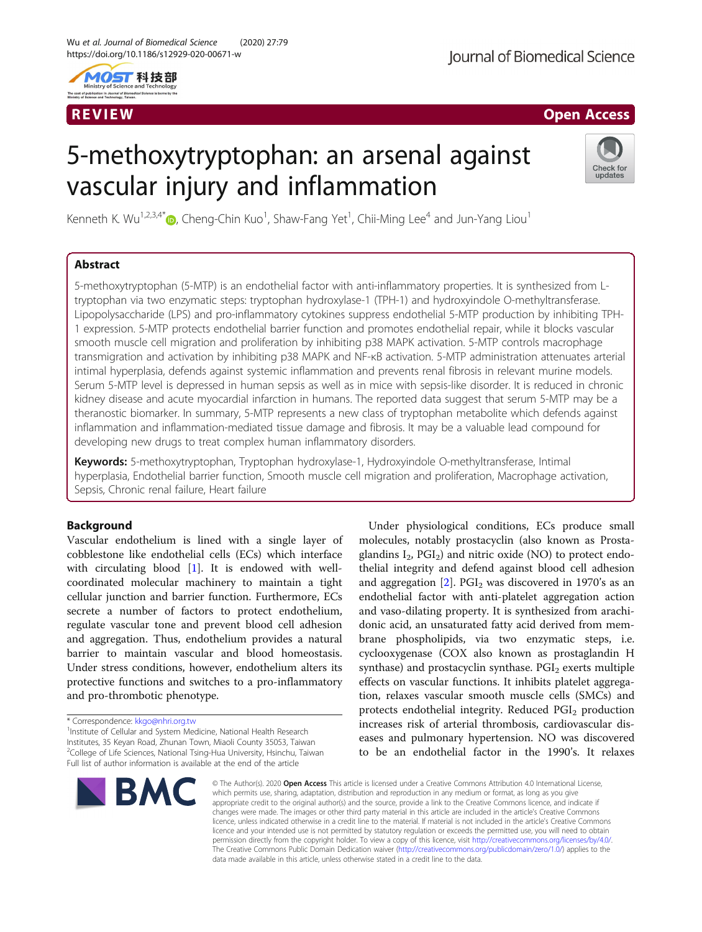



# 5-methoxytryptophan: an arsenal against vascular injury and inflammation



Kenneth K. Wu<sup>1,2,3,4\*</sup> $\bm{\mathbb{D}}$ , Cheng-Chin Kuo<sup>1</sup>, Shaw-Fang Yet<sup>1</sup>, Chii-Ming Lee<sup>4</sup> and Jun-Yang Liou<sup>1</sup>

## Abstract

5-methoxytryptophan (5-MTP) is an endothelial factor with anti-inflammatory properties. It is synthesized from Ltryptophan via two enzymatic steps: tryptophan hydroxylase-1 (TPH-1) and hydroxyindole O-methyltransferase. Lipopolysaccharide (LPS) and pro-inflammatory cytokines suppress endothelial 5-MTP production by inhibiting TPH-1 expression. 5-MTP protects endothelial barrier function and promotes endothelial repair, while it blocks vascular smooth muscle cell migration and proliferation by inhibiting p38 MAPK activation. 5-MTP controls macrophage transmigration and activation by inhibiting p38 MAPK and NF-κB activation. 5-MTP administration attenuates arterial intimal hyperplasia, defends against systemic inflammation and prevents renal fibrosis in relevant murine models. Serum 5-MTP level is depressed in human sepsis as well as in mice with sepsis-like disorder. It is reduced in chronic kidney disease and acute myocardial infarction in humans. The reported data suggest that serum 5-MTP may be a theranostic biomarker. In summary, 5-MTP represents a new class of tryptophan metabolite which defends against inflammation and inflammation-mediated tissue damage and fibrosis. It may be a valuable lead compound for developing new drugs to treat complex human inflammatory disorders.

Keywords: 5-methoxytryptophan, Tryptophan hydroxylase-1, Hydroxyindole O-methyltransferase, Intimal hyperplasia, Endothelial barrier function, Smooth muscle cell migration and proliferation, Macrophage activation, Sepsis, Chronic renal failure, Heart failure

## Background

Vascular endothelium is lined with a single layer of cobblestone like endothelial cells (ECs) which interface with circulating blood [\[1](#page-6-0)]. It is endowed with wellcoordinated molecular machinery to maintain a tight cellular junction and barrier function. Furthermore, ECs secrete a number of factors to protect endothelium, regulate vascular tone and prevent blood cell adhesion and aggregation. Thus, endothelium provides a natural barrier to maintain vascular and blood homeostasis. Under stress conditions, however, endothelium alters its protective functions and switches to a pro-inflammatory and pro-thrombotic phenotype.

<sup>1</sup> Institute of Cellular and System Medicine, National Health Research Institutes, 35 Keyan Road, Zhunan Town, Miaoli County 35053, Taiwan <sup>2</sup>College of Life Sciences, National Tsing-Hua University, Hsinchu, Taiwan Full list of author information is available at the end of the article



Under physiological conditions, ECs produce small molecules, notably prostacyclin (also known as Prostaglandins  $I_2$ ,  $PGI_2$ ) and nitric oxide (NO) to protect endothelial integrity and defend against blood cell adhesion and aggregation  $[2]$  $[2]$  $[2]$ . PGI<sub>2</sub> was discovered in 1970's as an endothelial factor with anti-platelet aggregation action and vaso-dilating property. It is synthesized from arachidonic acid, an unsaturated fatty acid derived from membrane phospholipids, via two enzymatic steps, i.e. cyclooxygenase (COX also known as prostaglandin H synthase) and prostacyclin synthase.  $PGI<sub>2</sub>$  exerts multiple effects on vascular functions. It inhibits platelet aggregation, relaxes vascular smooth muscle cells (SMCs) and protects endothelial integrity. Reduced PGI<sub>2</sub> production increases risk of arterial thrombosis, cardiovascular diseases and pulmonary hypertension. NO was discovered to be an endothelial factor in the 1990's. It relaxes

© The Author(s), 2020 **Open Access** This article is licensed under a Creative Commons Attribution 4.0 International License, which permits use, sharing, adaptation, distribution and reproduction in any medium or format, as long as you give appropriate credit to the original author(s) and the source, provide a link to the Creative Commons licence, and indicate if changes were made. The images or other third party material in this article are included in the article's Creative Commons licence, unless indicated otherwise in a credit line to the material. If material is not included in the article's Creative Commons licence and your intended use is not permitted by statutory regulation or exceeds the permitted use, you will need to obtain permission directly from the copyright holder. To view a copy of this licence, visit [http://creativecommons.org/licenses/by/4.0/.](http://creativecommons.org/licenses/by/4.0/) The Creative Commons Public Domain Dedication waiver [\(http://creativecommons.org/publicdomain/zero/1.0/](http://creativecommons.org/publicdomain/zero/1.0/)) applies to the data made available in this article, unless otherwise stated in a credit line to the data.

<sup>\*</sup> Correspondence: [kkgo@nhri.org.tw](mailto:kkgo@nhri.org.tw) <sup>1</sup>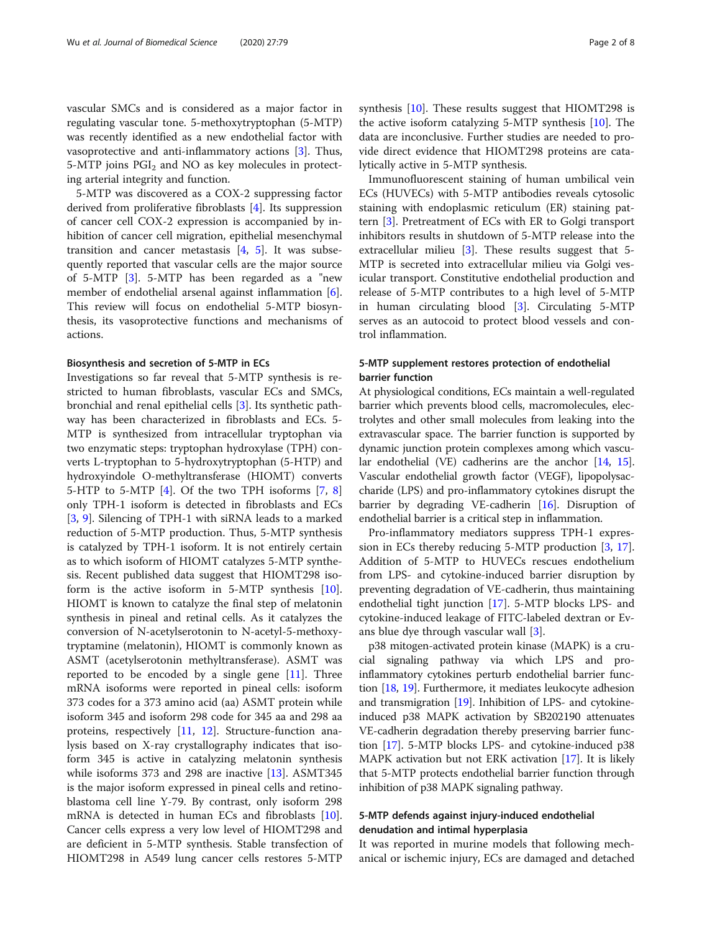vascular SMCs and is considered as a major factor in regulating vascular tone. 5-methoxytryptophan (5-MTP) was recently identified as a new endothelial factor with vasoprotective and anti-inflammatory actions [\[3\]](#page-6-0). Thus, 5-MTP joins  $PGI<sub>2</sub>$  and NO as key molecules in protecting arterial integrity and function.

5-MTP was discovered as a COX-2 suppressing factor derived from proliferative fibroblasts [[4\]](#page-6-0). Its suppression of cancer cell COX-2 expression is accompanied by inhibition of cancer cell migration, epithelial mesenchymal transition and cancer metastasis  $[4, 5]$  $[4, 5]$  $[4, 5]$  $[4, 5]$ . It was subsequently reported that vascular cells are the major source of 5-MTP [\[3](#page-6-0)]. 5-MTP has been regarded as a "new member of endothelial arsenal against inflammation [\[6](#page-6-0)]. This review will focus on endothelial 5-MTP biosynthesis, its vasoprotective functions and mechanisms of actions.

#### Biosynthesis and secretion of 5-MTP in ECs

Investigations so far reveal that 5-MTP synthesis is restricted to human fibroblasts, vascular ECs and SMCs, bronchial and renal epithelial cells [\[3](#page-6-0)]. Its synthetic pathway has been characterized in fibroblasts and ECs. 5- MTP is synthesized from intracellular tryptophan via two enzymatic steps: tryptophan hydroxylase (TPH) converts L-tryptophan to 5-hydroxytryptophan (5-HTP) and hydroxyindole O-methyltransferase (HIOMT) converts 5-HTP to 5-MTP [[4\]](#page-6-0). Of the two TPH isoforms [\[7](#page-6-0), [8](#page-6-0)] only TPH-1 isoform is detected in fibroblasts and ECs [[3,](#page-6-0) [9](#page-6-0)]. Silencing of TPH-1 with siRNA leads to a marked reduction of 5-MTP production. Thus, 5-MTP synthesis is catalyzed by TPH-1 isoform. It is not entirely certain as to which isoform of HIOMT catalyzes 5-MTP synthesis. Recent published data suggest that HIOMT298 isoform is the active isoform in 5-MTP synthesis [\[10](#page-6-0)]. HIOMT is known to catalyze the final step of melatonin synthesis in pineal and retinal cells. As it catalyzes the conversion of N-acetylserotonin to N-acetyl-5-methoxytryptamine (melatonin), HIOMT is commonly known as ASMT (acetylserotonin methyltransferase). ASMT was reported to be encoded by a single gene  $[11]$  $[11]$ . Three mRNA isoforms were reported in pineal cells: isoform 373 codes for a 373 amino acid (aa) ASMT protein while isoform 345 and isoform 298 code for 345 aa and 298 aa proteins, respectively [[11](#page-6-0), [12\]](#page-6-0). Structure-function analysis based on X-ray crystallography indicates that isoform 345 is active in catalyzing melatonin synthesis while isoforms 373 and 298 are inactive  $[13]$  $[13]$  $[13]$ . ASMT345 is the major isoform expressed in pineal cells and retinoblastoma cell line Y-79. By contrast, only isoform 298 mRNA is detected in human ECs and fibroblasts [\[10](#page-6-0)]. Cancer cells express a very low level of HIOMT298 and are deficient in 5-MTP synthesis. Stable transfection of HIOMT298 in A549 lung cancer cells restores 5-MTP synthesis [\[10](#page-6-0)]. These results suggest that HIOMT298 is the active isoform catalyzing 5-MTP synthesis [[10](#page-6-0)]. The data are inconclusive. Further studies are needed to provide direct evidence that HIOMT298 proteins are catalytically active in 5-MTP synthesis.

Immunofluorescent staining of human umbilical vein ECs (HUVECs) with 5-MTP antibodies reveals cytosolic staining with endoplasmic reticulum (ER) staining pattern [[3\]](#page-6-0). Pretreatment of ECs with ER to Golgi transport inhibitors results in shutdown of 5-MTP release into the extracellular milieu [[3\]](#page-6-0). These results suggest that 5-MTP is secreted into extracellular milieu via Golgi vesicular transport. Constitutive endothelial production and release of 5-MTP contributes to a high level of 5-MTP in human circulating blood [\[3](#page-6-0)]. Circulating 5-MTP serves as an autocoid to protect blood vessels and control inflammation.

## 5-MTP supplement restores protection of endothelial barrier function

At physiological conditions, ECs maintain a well-regulated barrier which prevents blood cells, macromolecules, electrolytes and other small molecules from leaking into the extravascular space. The barrier function is supported by dynamic junction protein complexes among which vascular endothelial (VE) cadherins are the anchor [\[14,](#page-6-0) [15](#page-7-0)]. Vascular endothelial growth factor (VEGF), lipopolysaccharide (LPS) and pro-inflammatory cytokines disrupt the barrier by degrading VE-cadherin [[16](#page-7-0)]. Disruption of endothelial barrier is a critical step in inflammation.

Pro-inflammatory mediators suppress TPH-1 expression in ECs thereby reducing 5-MTP production [\[3,](#page-6-0) [17](#page-7-0)]. Addition of 5-MTP to HUVECs rescues endothelium from LPS- and cytokine-induced barrier disruption by preventing degradation of VE-cadherin, thus maintaining endothelial tight junction [[17](#page-7-0)]. 5-MTP blocks LPS- and cytokine-induced leakage of FITC-labeled dextran or Evans blue dye through vascular wall [[3](#page-6-0)].

p38 mitogen-activated protein kinase (MAPK) is a crucial signaling pathway via which LPS and proinflammatory cytokines perturb endothelial barrier function [[18](#page-7-0), [19](#page-7-0)]. Furthermore, it mediates leukocyte adhesion and transmigration [\[19\]](#page-7-0). Inhibition of LPS- and cytokineinduced p38 MAPK activation by SB202190 attenuates VE-cadherin degradation thereby preserving barrier function [[17](#page-7-0)]. 5-MTP blocks LPS- and cytokine-induced p38 MAPK activation but not ERK activation [[17](#page-7-0)]. It is likely that 5-MTP protects endothelial barrier function through inhibition of p38 MAPK signaling pathway.

## 5-MTP defends against injury-induced endothelial denudation and intimal hyperplasia

It was reported in murine models that following mechanical or ischemic injury, ECs are damaged and detached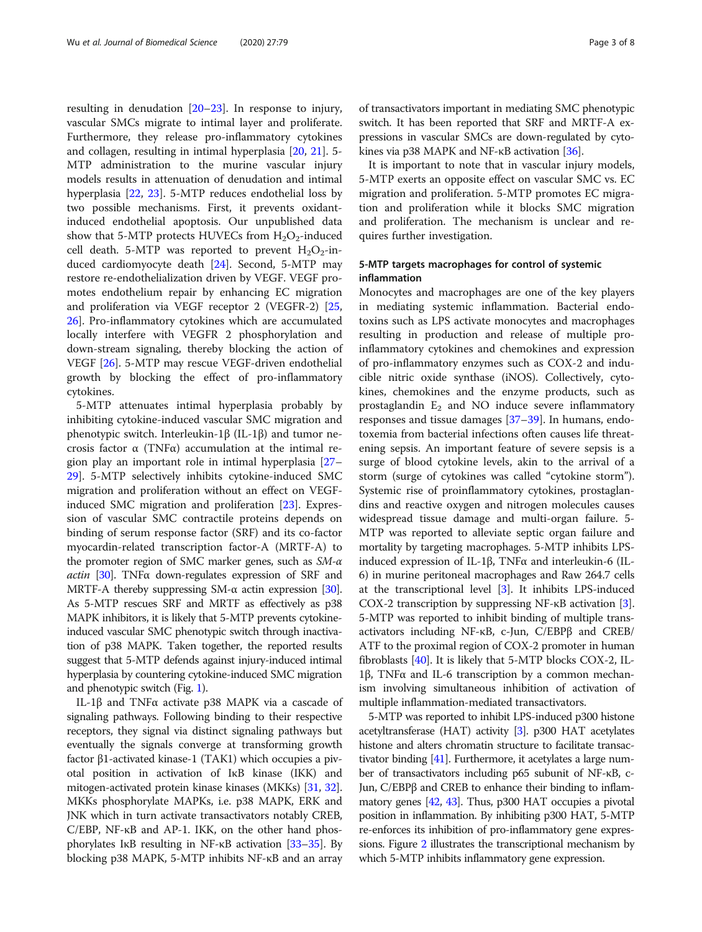resulting in denudation [\[20](#page-7-0)–[23\]](#page-7-0). In response to injury, vascular SMCs migrate to intimal layer and proliferate. Furthermore, they release pro-inflammatory cytokines and collagen, resulting in intimal hyperplasia [\[20](#page-7-0), [21](#page-7-0)]. 5- MTP administration to the murine vascular injury models results in attenuation of denudation and intimal hyperplasia [[22](#page-7-0), [23](#page-7-0)]. 5-MTP reduces endothelial loss by two possible mechanisms. First, it prevents oxidantinduced endothelial apoptosis. Our unpublished data show that 5-MTP protects HUVECs from  $H_2O_2$ -induced cell death. 5-MTP was reported to prevent  $H_2O_2$ -induced cardiomyocyte death [[24\]](#page-7-0). Second, 5-MTP may restore re-endothelialization driven by VEGF. VEGF promotes endothelium repair by enhancing EC migration and proliferation via VEGF receptor 2 (VEGFR-2) [[25](#page-7-0), [26\]](#page-7-0). Pro-inflammatory cytokines which are accumulated locally interfere with VEGFR 2 phosphorylation and down-stream signaling, thereby blocking the action of VEGF [[26\]](#page-7-0). 5-MTP may rescue VEGF-driven endothelial growth by blocking the effect of pro-inflammatory cytokines.

5-MTP attenuates intimal hyperplasia probably by inhibiting cytokine-induced vascular SMC migration and phenotypic switch. Interleukin-1β (IL-1β) and tumor necrosis factor α (TNFα) accumulation at the intimal region play an important role in intimal hyperplasia [[27](#page-7-0)– [29\]](#page-7-0). 5-MTP selectively inhibits cytokine-induced SMC migration and proliferation without an effect on VEGFinduced SMC migration and proliferation [\[23\]](#page-7-0). Expression of vascular SMC contractile proteins depends on binding of serum response factor (SRF) and its co-factor myocardin-related transcription factor-A (MRTF-A) to the promoter region of SMC marker genes, such as  $SM-\alpha$ actin [\[30](#page-7-0)]. TNFα down-regulates expression of SRF and MRTF-A thereby suppressing  $SM-\alpha$  actin expression [\[30](#page-7-0)]. As 5-MTP rescues SRF and MRTF as effectively as p38 MAPK inhibitors, it is likely that 5-MTP prevents cytokineinduced vascular SMC phenotypic switch through inactivation of p38 MAPK. Taken together, the reported results suggest that 5-MTP defends against injury-induced intimal hyperplasia by countering cytokine-induced SMC migration and phenotypic switch (Fig. [1](#page-3-0)).

IL-1β and TNFα activate p38 MAPK via a cascade of signaling pathways. Following binding to their respective receptors, they signal via distinct signaling pathways but eventually the signals converge at transforming growth factor β1-activated kinase-1 (TAK1) which occupies a pivotal position in activation of IκB kinase (IKK) and mitogen-activated protein kinase kinases (MKKs) [\[31,](#page-7-0) [32](#page-7-0)]. MKKs phosphorylate MAPKs, i.e. p38 MAPK, ERK and JNK which in turn activate transactivators notably CREB, C/EBP, NF-κB and AP-1. IKK, on the other hand phosphorylates IκB resulting in NF-κB activation [\[33](#page-7-0)–[35](#page-7-0)]. By blocking p38 MAPK, 5-MTP inhibits NF-κB and an array of transactivators important in mediating SMC phenotypic switch. It has been reported that SRF and MRTF-A expressions in vascular SMCs are down-regulated by cytokines via p38 MAPK and NF-κB activation [[36](#page-7-0)].

It is important to note that in vascular injury models, 5-MTP exerts an opposite effect on vascular SMC vs. EC migration and proliferation. 5-MTP promotes EC migration and proliferation while it blocks SMC migration and proliferation. The mechanism is unclear and requires further investigation.

## 5-MTP targets macrophages for control of systemic inflammation

Monocytes and macrophages are one of the key players in mediating systemic inflammation. Bacterial endotoxins such as LPS activate monocytes and macrophages resulting in production and release of multiple proinflammatory cytokines and chemokines and expression of pro-inflammatory enzymes such as COX-2 and inducible nitric oxide synthase (iNOS). Collectively, cytokines, chemokines and the enzyme products, such as prostaglandin  $E_2$  and NO induce severe inflammatory responses and tissue damages [\[37](#page-7-0)–[39\]](#page-7-0). In humans, endotoxemia from bacterial infections often causes life threatening sepsis. An important feature of severe sepsis is a surge of blood cytokine levels, akin to the arrival of a storm (surge of cytokines was called "cytokine storm"). Systemic rise of proinflammatory cytokines, prostaglandins and reactive oxygen and nitrogen molecules causes widespread tissue damage and multi-organ failure. 5- MTP was reported to alleviate septic organ failure and mortality by targeting macrophages. 5-MTP inhibits LPSinduced expression of IL-1β, TNFα and interleukin-6 (IL-6) in murine peritoneal macrophages and Raw 264.7 cells at the transcriptional level [\[3](#page-6-0)]. It inhibits LPS-induced COX-2 transcription by suppressing NF-κB activation [[3](#page-6-0)]. 5-MTP was reported to inhibit binding of multiple transactivators including NF-κB, c-Jun, C/EBPβ and CREB/ ATF to the proximal region of COX-2 promoter in human fibroblasts [\[40\]](#page-7-0). It is likely that 5-MTP blocks COX-2, IL-1β, TNFα and IL-6 transcription by a common mechanism involving simultaneous inhibition of activation of multiple inflammation-mediated transactivators.

5-MTP was reported to inhibit LPS-induced p300 histone acetyltransferase (HAT) activity [\[3\]](#page-6-0). p300 HAT acetylates histone and alters chromatin structure to facilitate transactivator binding [\[41\]](#page-7-0). Furthermore, it acetylates a large number of transactivators including p65 subunit of NF-κB, c-Jun, C/EBPβ and CREB to enhance their binding to inflammatory genes [[42](#page-7-0), [43\]](#page-7-0). Thus, p300 HAT occupies a pivotal position in inflammation. By inhibiting p300 HAT, 5-MTP re-enforces its inhibition of pro-inflammatory gene expressions. Figure [2](#page-4-0) illustrates the transcriptional mechanism by which 5-MTP inhibits inflammatory gene expression.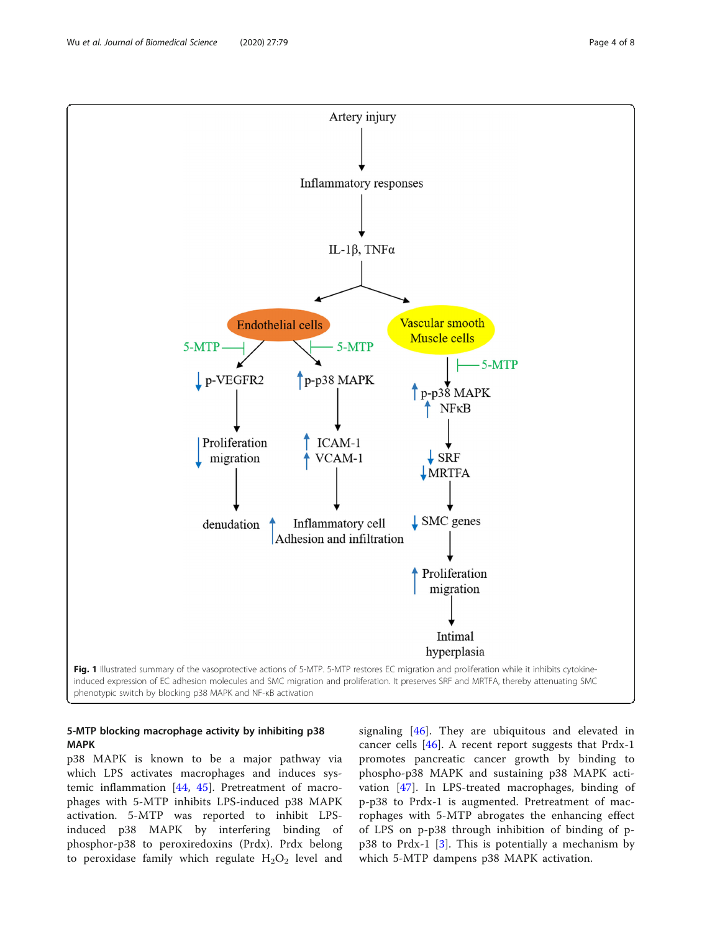<span id="page-3-0"></span>

## 5-MTP blocking macrophage activity by inhibiting p38 MAPK

p38 MAPK is known to be a major pathway via which LPS activates macrophages and induces systemic inflammation [\[44](#page-7-0), [45\]](#page-7-0). Pretreatment of macrophages with 5-MTP inhibits LPS-induced p38 MAPK activation. 5-MTP was reported to inhibit LPSinduced p38 MAPK by interfering binding of phosphor-p38 to peroxiredoxins (Prdx). Prdx belong to peroxidase family which regulate  $H_2O_2$  level and signaling [[46](#page-7-0)]. They are ubiquitous and elevated in cancer cells [\[46](#page-7-0)]. A recent report suggests that Prdx-1 promotes pancreatic cancer growth by binding to phospho-p38 MAPK and sustaining p38 MAPK activation [[47\]](#page-7-0). In LPS-treated macrophages, binding of p-p38 to Prdx-1 is augmented. Pretreatment of macrophages with 5-MTP abrogates the enhancing effect of LPS on p-p38 through inhibition of binding of p $p38$  to Prdx-1 [[3\]](#page-6-0). This is potentially a mechanism by which 5-MTP dampens p38 MAPK activation.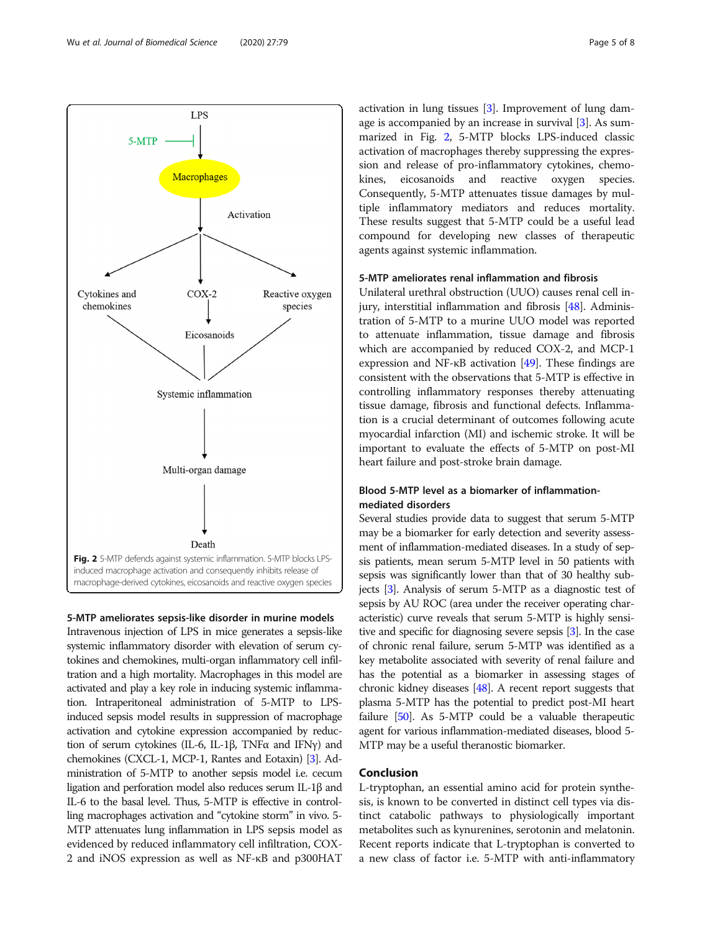<span id="page-4-0"></span>

5-MTP ameliorates sepsis-like disorder in murine models Intravenous injection of LPS in mice generates a sepsis-like systemic inflammatory disorder with elevation of serum cytokines and chemokines, multi-organ inflammatory cell infiltration and a high mortality. Macrophages in this model are activated and play a key role in inducing systemic inflammation. Intraperitoneal administration of 5-MTP to LPSinduced sepsis model results in suppression of macrophage activation and cytokine expression accompanied by reduction of serum cytokines (IL-6, IL-1β, TNFα and IFNγ) and chemokines (CXCL-1, MCP-1, Rantes and Eotaxin) [\[3](#page-6-0)]. Administration of 5-MTP to another sepsis model i.e. cecum ligation and perforation model also reduces serum IL-1β and IL-6 to the basal level. Thus, 5-MTP is effective in controlling macrophages activation and "cytokine storm" in vivo. 5- MTP attenuates lung inflammation in LPS sepsis model as evidenced by reduced inflammatory cell infiltration, COX-2 and iNOS expression as well as NF-κB and p300HAT activation in lung tissues [[3\]](#page-6-0). Improvement of lung damage is accompanied by an increase in survival [[3\]](#page-6-0). As summarized in Fig. 2, 5-MTP blocks LPS-induced classic activation of macrophages thereby suppressing the expression and release of pro-inflammatory cytokines, chemokines, eicosanoids and reactive oxygen species. Consequently, 5-MTP attenuates tissue damages by multiple inflammatory mediators and reduces mortality. These results suggest that 5-MTP could be a useful lead compound for developing new classes of therapeutic agents against systemic inflammation.

## 5-MTP ameliorates renal inflammation and fibrosis

Unilateral urethral obstruction (UUO) causes renal cell injury, interstitial inflammation and fibrosis [\[48\]](#page-7-0). Administration of 5-MTP to a murine UUO model was reported to attenuate inflammation, tissue damage and fibrosis which are accompanied by reduced COX-2, and MCP-1 expression and NF-κB activation [[49](#page-7-0)]. These findings are consistent with the observations that 5-MTP is effective in controlling inflammatory responses thereby attenuating tissue damage, fibrosis and functional defects. Inflammation is a crucial determinant of outcomes following acute myocardial infarction (MI) and ischemic stroke. It will be important to evaluate the effects of 5-MTP on post-MI heart failure and post-stroke brain damage.

## Blood 5-MTP level as a biomarker of inflammationmediated disorders

Several studies provide data to suggest that serum 5-MTP may be a biomarker for early detection and severity assessment of inflammation-mediated diseases. In a study of sepsis patients, mean serum 5-MTP level in 50 patients with sepsis was significantly lower than that of 30 healthy subjects [[3](#page-6-0)]. Analysis of serum 5-MTP as a diagnostic test of sepsis by AU ROC (area under the receiver operating characteristic) curve reveals that serum 5-MTP is highly sensitive and specific for diagnosing severe sepsis [[3](#page-6-0)]. In the case of chronic renal failure, serum 5-MTP was identified as a key metabolite associated with severity of renal failure and has the potential as a biomarker in assessing stages of chronic kidney diseases [\[48\]](#page-7-0). A recent report suggests that plasma 5-MTP has the potential to predict post-MI heart failure [\[50\]](#page-7-0). As 5-MTP could be a valuable therapeutic agent for various inflammation-mediated diseases, blood 5- MTP may be a useful theranostic biomarker.

## Conclusion

L-tryptophan, an essential amino acid for protein synthesis, is known to be converted in distinct cell types via distinct catabolic pathways to physiologically important metabolites such as kynurenines, serotonin and melatonin. Recent reports indicate that L-tryptophan is converted to a new class of factor i.e. 5-MTP with anti-inflammatory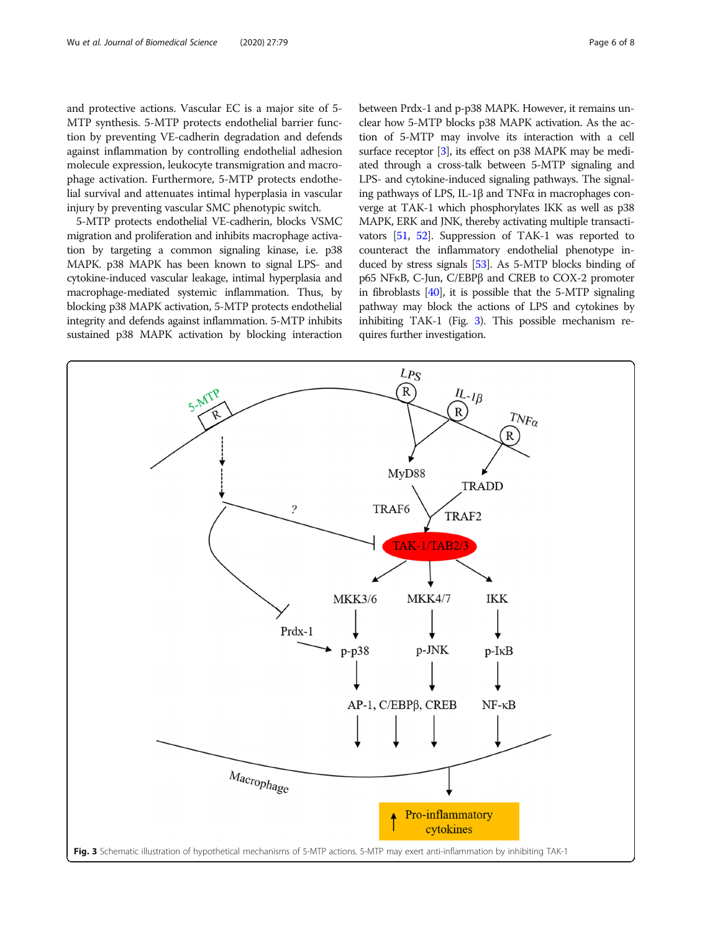and protective actions. Vascular EC is a major site of 5- MTP synthesis. 5-MTP protects endothelial barrier function by preventing VE-cadherin degradation and defends against inflammation by controlling endothelial adhesion molecule expression, leukocyte transmigration and macrophage activation. Furthermore, 5-MTP protects endothelial survival and attenuates intimal hyperplasia in vascular injury by preventing vascular SMC phenotypic switch.

5-MTP protects endothelial VE-cadherin, blocks VSMC migration and proliferation and inhibits macrophage activation by targeting a common signaling kinase, i.e. p38 MAPK. p38 MAPK has been known to signal LPS- and cytokine-induced vascular leakage, intimal hyperplasia and macrophage-mediated systemic inflammation. Thus, by blocking p38 MAPK activation, 5-MTP protects endothelial integrity and defends against inflammation. 5-MTP inhibits sustained p38 MAPK activation by blocking interaction between Prdx-1 and p-p38 MAPK. However, it remains unclear how 5-MTP blocks p38 MAPK activation. As the action of 5-MTP may involve its interaction with a cell surface receptor [\[3\]](#page-6-0), its effect on p38 MAPK may be mediated through a cross-talk between 5-MTP signaling and LPS- and cytokine-induced signaling pathways. The signaling pathways of LPS, IL-1β and TNFα in macrophages converge at TAK-1 which phosphorylates IKK as well as p38 MAPK, ERK and JNK, thereby activating multiple transactivators [[51](#page-7-0), [52\]](#page-7-0). Suppression of TAK-1 was reported to counteract the inflammatory endothelial phenotype induced by stress signals [\[53\]](#page-7-0). As 5-MTP blocks binding of p65 NFκB, C-Jun, C/EBPβ and CREB to COX-2 promoter in fibroblasts [\[40\]](#page-7-0), it is possible that the 5-MTP signaling pathway may block the actions of LPS and cytokines by inhibiting TAK-1 (Fig. 3). This possible mechanism requires further investigation.

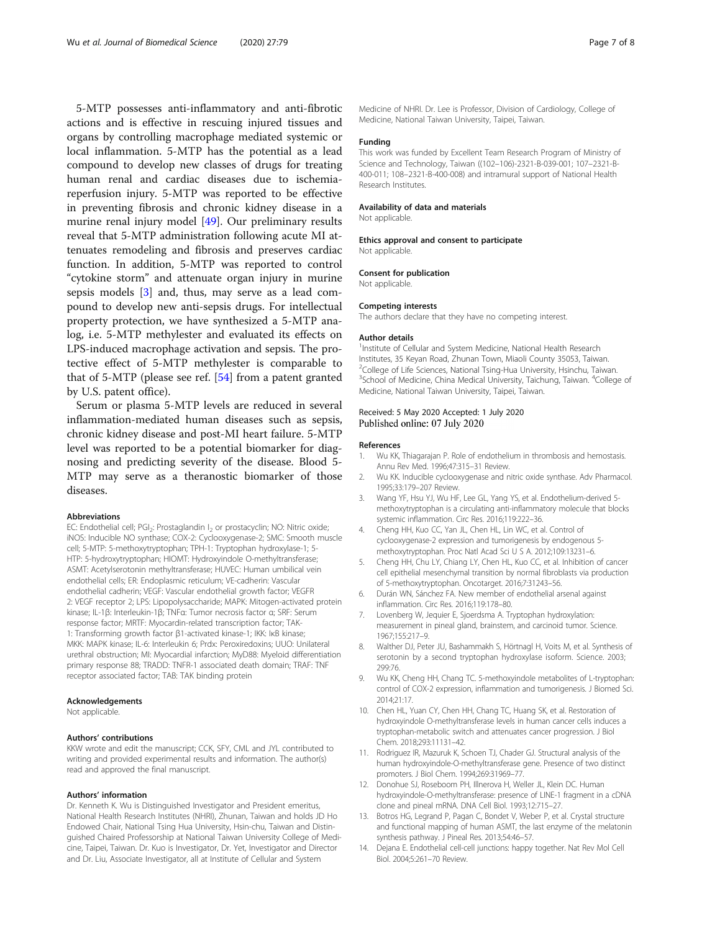<span id="page-6-0"></span>5-MTP possesses anti-inflammatory and anti-fibrotic actions and is effective in rescuing injured tissues and organs by controlling macrophage mediated systemic or local inflammation. 5-MTP has the potential as a lead compound to develop new classes of drugs for treating human renal and cardiac diseases due to ischemiareperfusion injury. 5-MTP was reported to be effective in preventing fibrosis and chronic kidney disease in a murine renal injury model [[49\]](#page-7-0). Our preliminary results reveal that 5-MTP administration following acute MI attenuates remodeling and fibrosis and preserves cardiac function. In addition, 5-MTP was reported to control "cytokine storm" and attenuate organ injury in murine sepsis models [3] and, thus, may serve as a lead compound to develop new anti-sepsis drugs. For intellectual property protection, we have synthesized a 5-MTP analog, i.e. 5-MTP methylester and evaluated its effects on LPS-induced macrophage activation and sepsis. The protective effect of 5-MTP methylester is comparable to that of 5-MTP (please see ref. [[54\]](#page-7-0) from a patent granted by U.S. patent office).

Serum or plasma 5-MTP levels are reduced in several inflammation-mediated human diseases such as sepsis, chronic kidney disease and post-MI heart failure. 5-MTP level was reported to be a potential biomarker for diagnosing and predicting severity of the disease. Blood 5- MTP may serve as a theranostic biomarker of those diseases.

#### Abbreviations

EC: Endothelial cell; PGI<sub>2</sub>: Prostaglandin I<sub>2</sub> or prostacyclin; NO: Nitric oxide; iNOS: Inducible NO synthase; COX-2: Cyclooxygenase-2; SMC: Smooth muscle cell; 5-MTP: 5-methoxytryptophan; TPH-1: Tryptophan hydroxylase-1; 5- HTP: 5-hydroxytryptophan; HIOMT: Hydroxyindole O-methyltransferase; ASMT: Acetylserotonin methyltransferase; HUVEC: Human umbilical vein endothelial cells; ER: Endoplasmic reticulum; VE-cadherin: Vascular endothelial cadherin; VEGF: Vascular endothelial growth factor; VEGFR 2: VEGF receptor 2; LPS: Lipopolysaccharide; MAPK: Mitogen-activated protein kinase; IL-1β: Interleukin-1β; TNFα: Tumor necrosis factor α; SRF: Serum response factor; MRTF: Myocardin-related transcription factor; TAK-1: Transforming growth factor β1-activated kinase-1; IKK: IκB kinase; MKK: MAPK kinase; IL-6: Interleukin 6; Prdx: Peroxiredoxins; UUO: Unilateral urethral obstruction; MI: Myocardial infarction; MyD88: Myeloid differentiation primary response 88; TRADD: TNFR-1 associated death domain; TRAF: TNF receptor associated factor; TAB: TAK binding protein

#### Acknowledgements

Not applicable.

#### Authors' contributions

KKW wrote and edit the manuscript; CCK, SFY, CML and JYL contributed to writing and provided experimental results and information. The author(s) read and approved the final manuscript.

#### Authors' information

Dr. Kenneth K. Wu is Distinguished Investigator and President emeritus, National Health Research Institutes (NHRI), Zhunan, Taiwan and holds JD Ho Endowed Chair, National Tsing Hua University, Hsin-chu, Taiwan and Distinguished Chaired Professorship at National Taiwan University College of Medicine, Taipei, Taiwan. Dr. Kuo is Investigator, Dr. Yet, Investigator and Director and Dr. Liu, Associate Investigator, all at Institute of Cellular and System

Medicine of NHRI. Dr. Lee is Professor, Division of Cardiology, College of Medicine, National Taiwan University, Taipei, Taiwan.

## Funding

This work was funded by Excellent Team Research Program of Ministry of Science and Technology, Taiwan ((102–106)-2321-B-039-001; 107–2321-B-400-011; 108–2321-B-400-008) and intramural support of National Health Research Institutes.

#### Availability of data and materials

Not applicable.

## Ethics approval and consent to participate

Not applicable.

## Consent for publication

Not applicable.

#### Competing interests

The authors declare that they have no competing interest.

#### Author details

<sup>1</sup>Institute of Cellular and System Medicine, National Health Research Institutes, 35 Keyan Road, Zhunan Town, Miaoli County 35053, Taiwan. <sup>2</sup>College of Life Sciences, National Tsing-Hua University, Hsinchu, Taiwan <sup>3</sup>School of Medicine, China Medical University, Taichung, Taiwan. <sup>4</sup>College of Medicine, National Taiwan University, Taipei, Taiwan.

#### Received: 5 May 2020 Accepted: 1 July 2020 Published online: 07 July 2020

#### References

- Wu KK, Thiagarajan P. Role of endothelium in thrombosis and hemostasis. Annu Rev Med. 1996;47:315–31 Review.
- 2. Wu KK. Inducible cyclooxygenase and nitric oxide synthase. Adv Pharmacol. 1995;33:179–207 Review.
- 3. Wang YF, Hsu YJ, Wu HF, Lee GL, Yang YS, et al. Endothelium-derived 5 methoxytryptophan is a circulating anti-inflammatory molecule that blocks systemic inflammation. Circ Res. 2016;119:222–36.
- 4. Cheng HH, Kuo CC, Yan JL, Chen HL, Lin WC, et al. Control of cyclooxygenase-2 expression and tumorigenesis by endogenous 5 methoxytryptophan. Proc Natl Acad Sci U S A. 2012;109:13231–6.
- 5. Cheng HH, Chu LY, Chiang LY, Chen HL, Kuo CC, et al. Inhibition of cancer cell epithelial mesenchymal transition by normal fibroblasts via production of 5-methoxytryptophan. Oncotarget. 2016;7:31243–56.
- 6. Durán WN, Sánchez FA. New member of endothelial arsenal against inflammation. Circ Res. 2016;119:178–80.
- 7. Lovenberg W, Jequier E, Sjoerdsma A. Tryptophan hydroxylation: measurement in pineal gland, brainstem, and carcinoid tumor. Science. 1967;155:217–9.
- 8. Walther DJ, Peter JU, Bashammakh S, Hörtnagl H, Voits M, et al. Synthesis of serotonin by a second tryptophan hydroxylase isoform. Science. 2003; 299:76.
- 9. Wu KK, Cheng HH, Chang TC. 5-methoxyindole metabolites of L-tryptophan: control of COX-2 expression, inflammation and tumorigenesis. J Biomed Sci. 2014;21:17.
- 10. Chen HL, Yuan CY, Chen HH, Chang TC, Huang SK, et al. Restoration of hydroxyindole O-methyltransferase levels in human cancer cells induces a tryptophan-metabolic switch and attenuates cancer progression. J Biol Chem. 2018;293:11131–42.
- 11. Rodriguez IR, Mazuruk K, Schoen TJ, Chader GJ. Structural analysis of the human hydroxyindole-O-methyltransferase gene. Presence of two distinct promoters. J Biol Chem. 1994;269:31969–77.
- 12. Donohue SJ, Roseboom PH, Illnerova H, Weller JL, Klein DC. Human hydroxyindole-O-methyltransferase: presence of LINE-1 fragment in a cDNA clone and pineal mRNA. DNA Cell Biol. 1993;12:715–27.
- 13. Botros HG, Legrand P, Pagan C, Bondet V, Weber P, et al. Crystal structure and functional mapping of human ASMT, the last enzyme of the melatonin synthesis pathway. J Pineal Res. 2013;54:46–57.
- 14. Dejana E. Endothelial cell-cell junctions: happy together. Nat Rev Mol Cell Biol. 2004;5:261–70 Review.